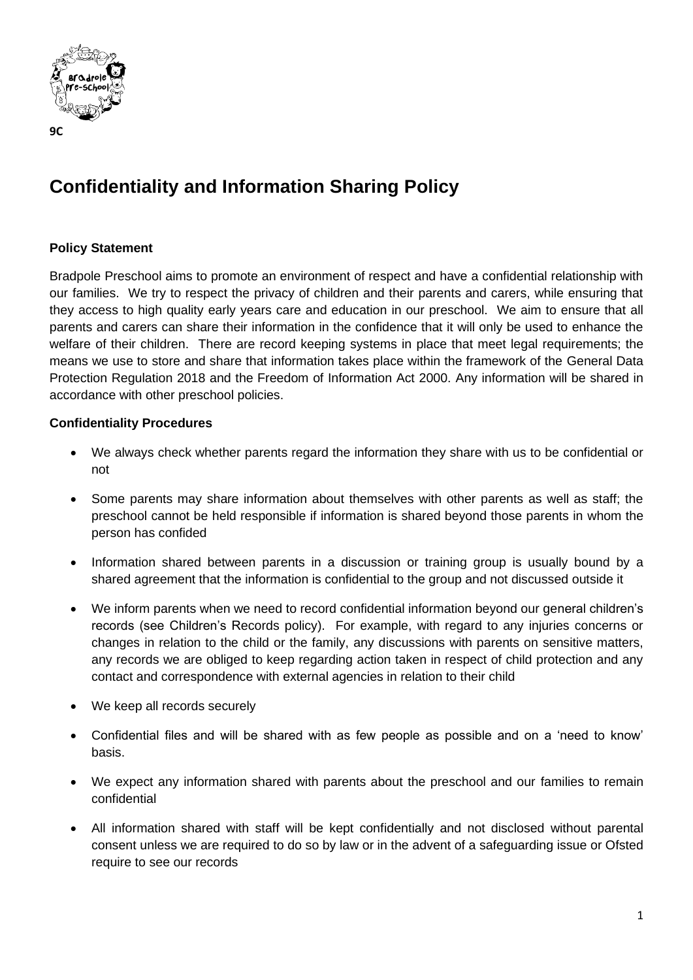

## **Confidentiality and Information Sharing Policy**

## **Policy Statement**

Bradpole Preschool aims to promote an environment of respect and have a confidential relationship with our families. We try to respect the privacy of children and their parents and carers, while ensuring that they access to high quality early years care and education in our preschool. We aim to ensure that all parents and carers can share their information in the confidence that it will only be used to enhance the welfare of their children. There are record keeping systems in place that meet legal requirements; the means we use to store and share that information takes place within the framework of the General Data Protection Regulation 2018 and the Freedom of Information Act 2000. Any information will be shared in accordance with other preschool policies.

## **Confidentiality Procedures**

- We always check whether parents regard the information they share with us to be confidential or not
- Some parents may share information about themselves with other parents as well as staff; the preschool cannot be held responsible if information is shared beyond those parents in whom the person has confided
- Information shared between parents in a discussion or training group is usually bound by a shared agreement that the information is confidential to the group and not discussed outside it
- We inform parents when we need to record confidential information beyond our general children's records (see Children's Records policy). For example, with regard to any injuries concerns or changes in relation to the child or the family, any discussions with parents on sensitive matters, any records we are obliged to keep regarding action taken in respect of child protection and any contact and correspondence with external agencies in relation to their child
- We keep all records securely
- Confidential files and will be shared with as few people as possible and on a 'need to know' basis.
- We expect any information shared with parents about the preschool and our families to remain confidential
- All information shared with staff will be kept confidentially and not disclosed without parental consent unless we are required to do so by law or in the advent of a safeguarding issue or Ofsted require to see our records